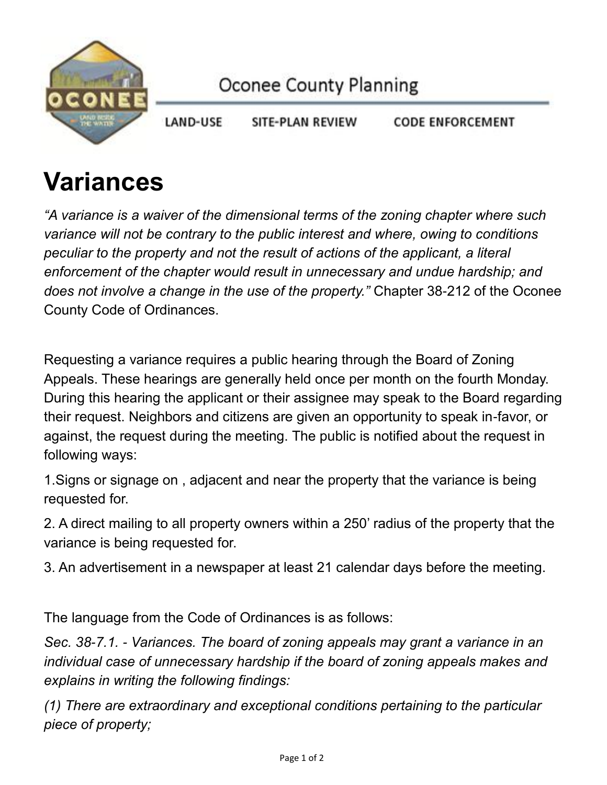

**LAND-USE** SITE-PLAN REVIEW **CODE ENFORCEMENT** 

## **Variances**

*"A variance is a waiver of the dimensional terms of the zoning chapter where such variance will not be contrary to the public interest and where, owing to conditions peculiar to the property and not the result of actions of the applicant, a literal enforcement of the chapter would result in unnecessary and undue hardship; and does not involve a change in the use of the property."* Chapter 38-212 of the Oconee County Code of Ordinances.

Requesting a variance requires a public hearing through the Board of Zoning Appeals. These hearings are generally held once per month on the fourth Monday. During this hearing the applicant or their assignee may speak to the Board regarding their request. Neighbors and citizens are given an opportunity to speak in-favor, or against, the request during the meeting. The public is notified about the request in following ways:

1.Signs or signage on , adjacent and near the property that the variance is being requested for.

2. A direct mailing to all property owners within a 250' radius of the property that the variance is being requested for.

3. An advertisement in a newspaper at least 21 calendar days before the meeting.

The language from the Code of Ordinances is as follows:

*Sec. 38-7.1. - Variances. The board of zoning appeals may grant a variance in an individual case of unnecessary hardship if the board of zoning appeals makes and explains in writing the following findings:*

*(1) There are extraordinary and exceptional conditions pertaining to the particular piece of property;*